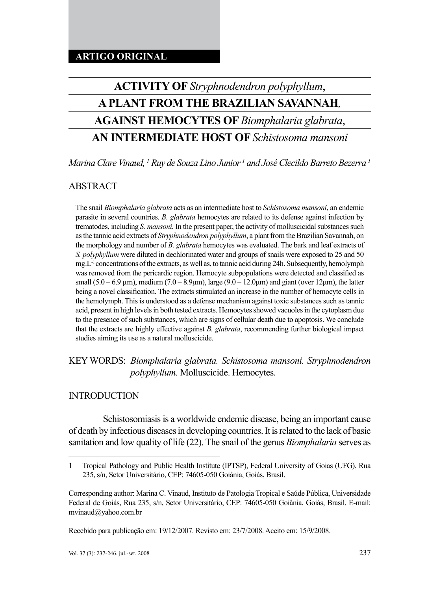# **ACTIVITY OF** *Stryphnodendron polyphyllum*, **A PLANT FROM THE BRAZILIAN SAVANNAH***,*

# **AGAINST HEMOCYTES OF** *Biomphalaria glabrata*,

# **AN INTERMEDIATE HOST OF** *Schistosoma mansoni*

*Marina Clare Vinaud, 1 Ruy de Souza Lino Junior 1 and José Clecildo Barreto Bezerra 1*

#### ABSTRACT

The snail *Biomphalaria glabrata* acts as an intermediate host to *Schistosoma mansoni*, an endemic parasite in several countries. *B. glabrata* hemocytes are related to its defense against infection by trematodes, including *S. mansoni.* In the present paper, the activity of molluscicidal substances such as the tannic acid extracts of *Stryphnodendron polyphyllum*, a plant from the Brazilian Savannah, on the morphology and number of *B. glabrata* hemocytes was evaluated. The bark and leaf extracts of *S. polyphyllum* were diluted in dechlorinated water and groups of snails were exposed to 25 and 50 mg.L-1 concentrations of the extracts, as well as, to tannic acid during 24h. Subsequently, hemolymph was removed from the pericardic region. Hemocyte subpopulations were detected and classified as small  $(5.0 - 6.9 \,\mu m)$ , medium  $(7.0 - 8.9 \,\mu m)$ , large  $(9.0 - 12.0 \,\mu m)$  and giant (over 12 $\mu$ m), the latter being a novel classification. The extracts stimulated an increase in the number of hemocyte cells in the hemolymph. This is understood as a defense mechanism against toxic substances such as tannic acid, present in high levels in both tested extracts. Hemocytes showed vacuoles in the cytoplasmdue to the presence of such substances, which are signs of cellular death due to apoptosis. We conclude that the extracts are highly effective against *B. glabrata*, recommending further biological impact studies aiming its use as a natural molluscicide.

KEY WORDS: *Biomphalaria glabrata. Schistosoma mansoni. Stryphnodendron polyphyllum.* Molluscicide. Hemocytes.

#### INTRODUCTION

Schistosomiasis is a worldwide endemic disease, being an important cause of death by infectious diseases in developing countries. It is related to the lack of basic sanitation and low quality of life (22). The snail of the genus *Biomphalaria* serves as

Recebido para publicação em: 19/12/2007. Revisto em: 23/7/2008. Aceito em: 15/9/2008.

<sup>1</sup> Tropical Pathology and Public Health Institute (IPTSP), Federal University of Goias (UFG), Rua 235, s/n, Setor Universitário, CEP: 74605-050 Goiânia, Goiás, Brasil.

Corresponding author: Marina C. Vinaud, Instituto de Patologia Tropical e Saúde Pública, Universidade Federal de Goiás, Rua 235, s/n, Setor Universitário, CEP: 74605-050 Goiânia, Goiás, Brasil. E-mail: mvinaud@yahoo.com.br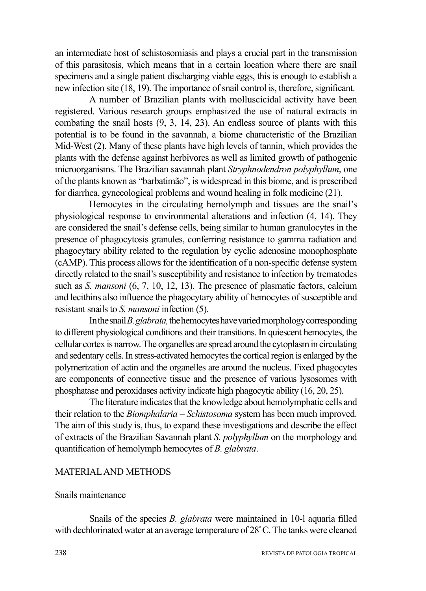an intermediate host of schistosomiasis and plays a crucial part in the transmission of this parasitosis, which means that in a certain location where there are snail specimens and a single patient discharging viable eggs, this is enough to establish a new infection site (18, 19). The importance of snail control is, therefore, significant.

A number of Brazilian plants with molluscicidal activity have been registered. Various research groups emphasized the use of natural extracts in combating the snail hosts (9, 3, 14, 23). An endless source of plants with this potential is to be found in the savannah, a biome characteristic of the Brazilian Mid-West (2). Many of these plants have high levels of tannin, which provides the plants with the defense against herbivores as well as limited growth of pathogenic microorganisms. The Brazilian savannah plant *Stryphnodendron polyphyllum*, one of the plants known as "barbatimão", is widespread in this biome, and is prescribed for diarrhea, gynecological problems and wound healing in folk medicine (21).

Hemocytes in the circulating hemolymph and tissues are the snail's physiological response to environmental alterations and infection (4, 14). They are considered the snail's defense cells, being similar to human granulocytes in the presence of phagocytosis granules, conferring resistance to gamma radiation and phagocytary ability related to the regulation by cyclic adenosine monophosphate (cAMP). This process allows for the identification of a non-specific defense system directly related to the snail's susceptibility and resistance to infection by trematodes such as *S. mansoni* (6, 7, 10, 12, 13). The presence of plasmatic factors, calcium and lecithins also influence the phagocytary ability of hemocytes of susceptible and resistant snails to *S. mansoni* infection (5).

In the snail *B. glabrata,* the hemocytes have varied morphology corresponding to different physiological conditions and their transitions. In quiescent hemocytes, the cellular cortex is narrow. The organelles are spread around the cytoplasm in circulating and sedentary cells. In stress-activated hemocytes the cortical region is enlarged by the polymerization of actin and the organelles are around the nucleus. Fixed phagocytes are components of connective tissue and the presence of various lysosomes with phosphatase and peroxidases activity indicate high phagocytic ability (16, 20, 25).

The literature indicates that the knowledge about hemolymphatic cells and their relation to the *Biomphalaria – Schistosoma* system has been much improved. The aim of this study is, thus, to expand these investigations and describe the effect of extracts of the Brazilian Savannah plant *S. polyphyllum* on the morphology and quantification of hemolymph hemocytes of *B. glabrata*.

#### MATERIAL AND METHODS

#### Snails maintenance

Snails of the species *B. glabrata* were maintained in 10-l aquaria filled with dechlorinated water at an average temperature of 28º C. The tanks were cleaned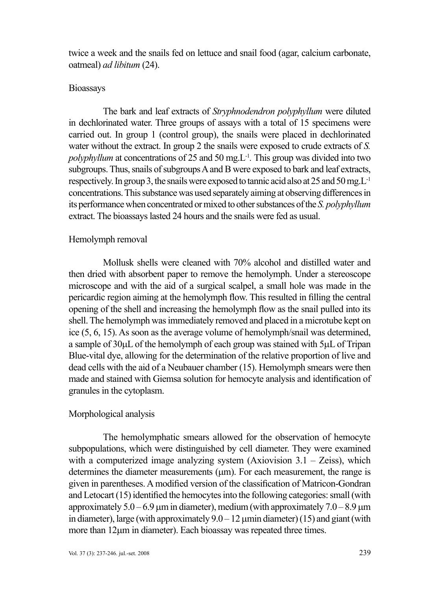twice a week and the snails fed on lettuce and snail food (agar, calcium carbonate, oatmeal) *ad libitum* (24).

#### **Bioassays**

The bark and leaf extracts of *Stryphnodendron polyphyllum* were diluted in dechlorinated water. Three groups of assays with a total of 15 specimens were carried out. In group 1 (control group), the snails were placed in dechlorinated water without the extract. In group 2 the snails were exposed to crude extracts of *S. polyphyllum* at concentrations of 25 and 50 mg.L<sup>-1</sup>. This group was divided into two subgroups. Thus, snails of subgroups A and B were exposed to bark and leaf extracts, respectively. In group 3, the snails were exposed to tannic acid also at 25 and 50 mg.L-1 concentrations. This substance was used separately aiming at observing differences in its performance when concentrated or mixed to other substances of the *S. polyphyllum*  extract. The bioassays lasted 24 hours and the snails were fed as usual.

#### Hemolymph removal

Mollusk shells were cleaned with 70% alcohol and distilled water and then dried with absorbent paper to remove the hemolymph. Under a stereoscope microscope and with the aid of a surgical scalpel, a small hole was made in the pericardic region aiming at the hemolymph flow. This resulted in filling the central opening of the shell and increasing the hemolymph flow as the snail pulled into its shell. The hemolymph was immediately removed and placed in a microtube kept on ice (5, 6, 15). As soon as the average volume of hemolymph/snail was determined, a sample of 30µL of the hemolymph of each group was stained with 5µL of Tripan Blue-vital dye, allowing for the determination of the relative proportion of live and dead cells with the aid of a Neubauer chamber (15). Hemolymph smears were then made and stained with Giemsa solution for hemocyte analysis and identification of granules in the cytoplasm.

# Morphological analysis

The hemolymphatic smears allowed for the observation of hemocyte subpopulations, which were distinguished by cell diameter. They were examined with a computerized image analyzing system (Axiovision  $3.1 - Ze$ iss), which determines the diameter measurements  $(\mu m)$ . For each measurement, the range is given in parentheses. A modified version of the classification of Matricon-Gondran and Letocart (15) identified the hemocytes into the following categories: small (with approximately  $5.0 - 6.9$  µm in diameter), medium (with approximately  $7.0 - 8.9$  µm in diameter), large (with approximately  $9.0 - 12$  µmin diameter) (15) and giant (with more than 12µm in diameter). Each bioassay was repeated three times.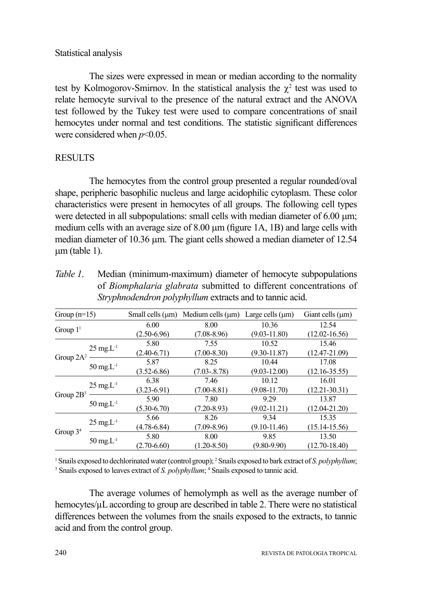#### Statistical analysis

The sizes were expressed in mean or median according to the normality test by Kolmogorov-Smirnov. In the statistical analysis the  $\chi^2$  test was used to relate hemocyte survival to the presence of the natural extract and the ANOVA test followed by the Tukey test were used to compare concentrations of snail hemocytes under normal and test conditions. The statistic significant differences were considered when  $p<0.05$ .

#### **RESULTS**

The hemocytes from the control group presented a regular rounded/oval shape, peripheric basophilic nucleus and large acidophilic cytoplasm. These color characteristics were present in hemocytes of all groups. The following cell types were detected in all subpopulations: small cells with median diameter of  $6.00 \mu m$ ; medium cells with an average size of 8.00  $\mu$ m (figure 1A, 1B) and large cells with median diameter of 10.36 µm. The giant cells showed a median diameter of 12.54 µm (table 1).

| Table 1. | Median (minimum-maximum) diameter of hemocyte subpopulations             |  |  |  |
|----------|--------------------------------------------------------------------------|--|--|--|
|          | of <i>Biomphalaria glabrata</i> submitted to different concentrations of |  |  |  |
|          | Stryphnodendron polyphyllum extracts and to tannic acid.                 |  |  |  |

| Group $(n=15)$ |                                       | Small cells $(\mu m)$ | Medium cells $(\mu m)$ | Large cells $(\mu m)$ | Giant cells $(\mu m)$ |
|----------------|---------------------------------------|-----------------------|------------------------|-----------------------|-----------------------|
| Group $11$     |                                       | 6.00                  | 8.00                   | 10.36                 | 12.54                 |
|                |                                       | $(2.50 - 6.96)$       | $(7.08 - 8.96)$        | $(9.03 - 11.80)$      | $(12.02 - 16.56)$     |
| Group $2A^2$   | $25 \text{ mg} \text{L}^{-1}$         | 5.80                  | 7.55                   | 10.52                 | 15.46                 |
|                |                                       | $(2.40 - 6.71)$       | $(7.00 - 8.30)$        | $(9.30 - 11.87)$      | $(12.47 - 21.09)$     |
|                | $50 \,\mathrm{mg} \mathrm{L}^{-1}$    | 5.87                  | 8.25                   | 10.44                 | 17.08                 |
|                |                                       | $(3.52 - 6.86)$       | $(7.03 - 8.78)$        | $(9.03 - 12.00)$      | $(12.16 - 35.55)$     |
| Group $2B^3$   | $25 \text{ mg} \text{L}^{-1}$         | 6.38                  | 7.46                   | 10.12                 | 16.01                 |
|                |                                       | $(3.23 - 6.91)$       | $(7.00 - 8.81)$        | $(9.08 - 11.70)$      | $(12.21 - 30.31)$     |
|                | $50 \,\mathrm{mg} \, \mathrm{L}^{-1}$ | 5.90                  | 7.80                   | 9.29                  | 13.87                 |
|                |                                       | $(5.30 - 6.70)$       | $(7.20 - 8.93)$        | $(9.02 - 11.21)$      | $(12.04 - 21.20)$     |
| Group $34$     | $25 \text{ mg} \text{L}^{-1}$         | 5.66                  | 8.26                   | 9.34                  | 15.35                 |
|                |                                       | $(4.78 - 6.84)$       | $(7.09 - 8.96)$        | $(9.10 - 11.46)$      | $(15.14 - 15.56)$     |
|                | $50 \,\mathrm{mg} \, \mathrm{L}^{-1}$ | 5.80                  | 8.00                   | 9.85                  | 13.50                 |
|                |                                       | $(2.70 - 6.60)$       | $(1.20 - 8.50)$        | $(9.80 - 9.90)$       | $(12.70 - 18.40)$     |

<sup>1</sup> Snails exposed to dechlorinated water (control group); <sup>2</sup> Snails exposed to bark extract of *S. polyphyllum*; <sup>3</sup> Snails exposed to tannic acid

Snails exposed to leaves extract of *S. polyphyllum*; <sup>4</sup> Snails exposed to tannic acid.

The average volumes of hemolymph as well as the average number of hemocytes/ $\mu$ L according to group are described in table 2. There were no statistical differences between the volumes from the snails exposed to the extracts, to tannic acid and from the control group.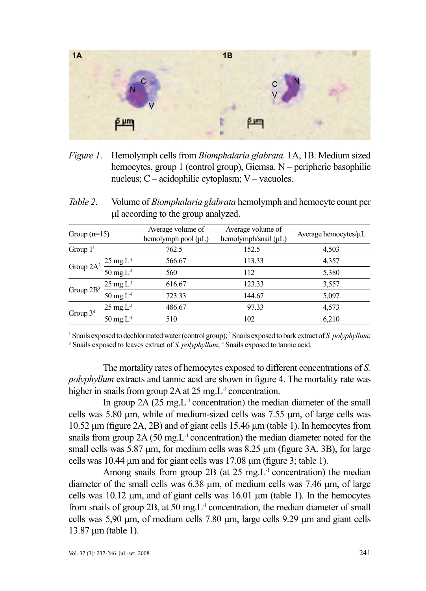

- *Figure 1*. Hemolymph cells from *Biomphalaria glabrata.* 1A, 1B. Medium sized hemocytes, group 1 (control group), Giemsa. N – peripheric basophilic nucleus; C – acidophilic cytoplasm; V – vacuoles.
- *Table 2*. Volume of *Biomphalaria glabrata* hemolymph and hemocyte count per µl according to the group analyzed.

| Group $(n=15)$ |                               | Average volume of<br>hemolymph pool $(\mu L)$ | Average volume of<br>hemolymph/snail $(\mu L)$ | Average hemocytes/µL |
|----------------|-------------------------------|-----------------------------------------------|------------------------------------------------|----------------------|
| Group $11$     |                               | 762.5                                         | 152.5                                          | 4,503                |
| Group $2A^2$   | $25 \text{ mg} \text{L}^{-1}$ | 566.67                                        | 113.33                                         | 4,357                |
|                | $50 \text{ mg}$ . $L^{-1}$    | 560                                           | 112                                            | 5,380                |
| Group $2B^3$   | $25 \text{ mg} \text{L}^{-1}$ | 616.67                                        | 123.33                                         | 3,557                |
|                | $50 \text{ mg} L^{-1}$        | 723.33                                        | 144.67                                         | 5,097                |
| Group $34$     | $25 \text{ mg} \cdot L^{-1}$  | 486.67                                        | 97.33                                          | 4,573                |
|                | $50 \text{ mg}$ . $L^{-1}$    | 510                                           | 102                                            | 6,210                |

<sup>1</sup> Snails exposed to dechlorinated water (control group); <sup>2</sup> Snails exposed to bark extract of *S. polyphyllum*; <sup>3</sup> Snails exposed to tannic acid Snails exposed to leaves extract of *S. polyphyllum*; <sup>4</sup> Snails exposed to tannic acid.

The mortality rates of hemocytes exposed to different concentrations of *S. polyphyllum* extracts and tannic acid are shown in figure 4. The mortality rate was higher in snails from group 2A at 25 mg.L<sup>-1</sup> concentration.

In group  $2A(25 \text{ mg}, L^{-1}$  concentration) the median diameter of the small cells was 5.80 µm, while of medium-sized cells was 7.55 µm, of large cells was 10.52 µm (figure 2A, 2B) and of giant cells 15.46 µm (table 1). In hemocytes from snails from group 2A (50 mg.L<sup>-1</sup> concentration) the median diameter noted for the small cells was  $5.87 \mu m$ , for medium cells was  $8.25 \mu m$  (figure 3A, 3B), for large cells was 10.44  $\mu$ m and for giant cells was 17.08  $\mu$ m (figure 3; table 1).

Among snails from group  $2B$  (at  $25 \text{ mg}$ , L<sup>-1</sup> concentration) the median diameter of the small cells was 6.38 µm, of medium cells was 7.46 µm, of large cells was  $10.12 \mu m$ , and of giant cells was  $16.01 \mu m$  (table 1). In the hemocytes from snails of group 2B, at 50 mg.L-1 concentration, the median diameter of small cells was 5,90 µm, of medium cells 7.80 µm, large cells 9.29 µm and giant cells 13.87 µm (table 1).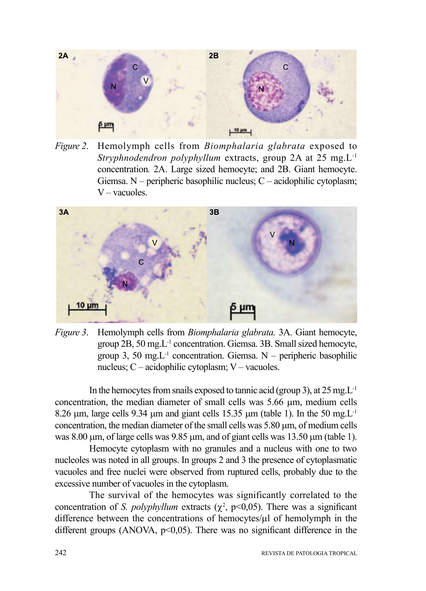

*Figure 2*. Hemolymph cells from *Biomphalaria glabrata* exposed to *Stryphnodendron polyphyllum* extracts, group 2A at 25 mg.L-1 concentration*.* 2A. Large sized hemocyte; and 2B. Giant hemocyte. Giemsa. N – peripheric basophilic nucleus; C – acidophilic cytoplasm; V – vacuoles.



*Figure 3*. Hemolymph cells from *Biomphalaria glabrata.* 3A. Giant hemocyte, group 2B, 50 mg.L-1 concentration. Giemsa. 3B. Small sized hemocyte, group 3, 50 mg. $L^{-1}$  concentration. Giemsa. N – peripheric basophilic nucleus; C – acidophilic cytoplasm; V – vacuoles.

In the hemocytes from snails exposed to tannic acid (group 3), at  $25 \text{ mg} \text{L}^{-1}$ concentration, the median diameter of small cells was 5.66 µm, medium cells 8.26  $\mu$ m, large cells 9.34  $\mu$ m and giant cells 15.35  $\mu$ m (table 1). In the 50 mg.L<sup>-1</sup> concentration, the median diameter of the small cells was  $5.80 \mu m$ , of medium cells was 8.00 µm, of large cells was 9.85 µm, and of giant cells was 13.50 µm (table 1).

Hemocyte cytoplasm with no granules and a nucleus with one to two nucleoles was noted in all groups. In groups 2 and 3 the presence of cytoplasmatic vacuoles and free nuclei were observed from ruptured cells, probably due to the excessive number of vacuoles in the cytoplasm.

The survival of the hemocytes was significantly correlated to the concentration of *S. polyphyllum* extracts  $(\chi^2, p<0.05)$ . There was a significant difference between the concentrations of hemocytes/ $\mu$ l of hemolymph in the different groups (ANOVA,  $p<0.05$ ). There was no significant difference in the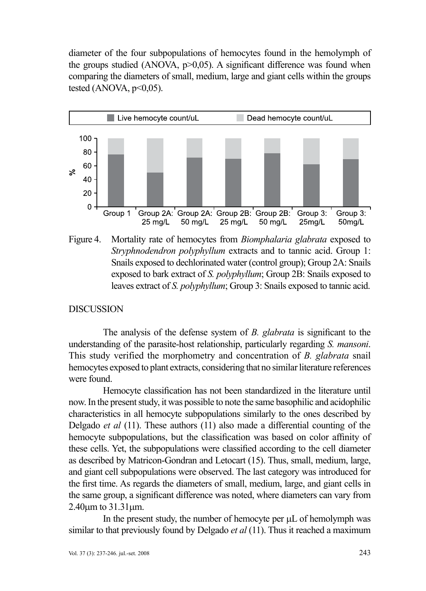diameter of the four subpopulations of hemocytes found in the hemolymph of the groups studied (ANOVA,  $p > 0.05$ ). A significant difference was found when comparing the diameters of small, medium, large and giant cells within the groups tested (ANOVA,  $p<0.05$ ).



Figure 4. Mortality rate of hemocytes from *Biomphalaria glabrata* exposed to *Stryphnodendron polyphyllum* extracts and to tannic acid. Group 1: Snails exposed to dechlorinated water (control group); Group 2A: Snails exposed to bark extract of *S. polyphyllum*; Group 2B: Snails exposed to leaves extract of *S. polyphyllum*; Group 3: Snails exposed to tannic acid.

**DISCUSSION** 

The analysis of the defense system of *B. glabrata* is significant to the understanding of the parasite-host relationship, particularly regarding *S. mansoni*. This study verified the morphometry and concentration of *B. glabrata* snail hemocytes exposed to plant extracts, considering that no similar literature references were found.

Hemocyte classification has not been standardized in the literature until now. In the present study, it was possible to note the same basophilic and acidophilic characteristics in all hemocyte subpopulations similarly to the ones described by Delgado *et al* (11). These authors (11) also made a differential counting of the hemocyte subpopulations, but the classification was based on color affinity of these cells. Yet, the subpopulations were classified according to the cell diameter as described by Matricon-Gondran and Letocart (15). Thus, small, medium, large, and giant cell subpopulations were observed. The last category was introduced for the first time. As regards the diameters of small, medium, large, and giant cells in the same group, a significant difference was noted, where diameters can vary from 2.40µm to 31.31µm.

In the present study, the number of hemocyte per  $\mu$ L of hemolymph was similar to that previously found by Delgado *et al* (11). Thus it reached a maximum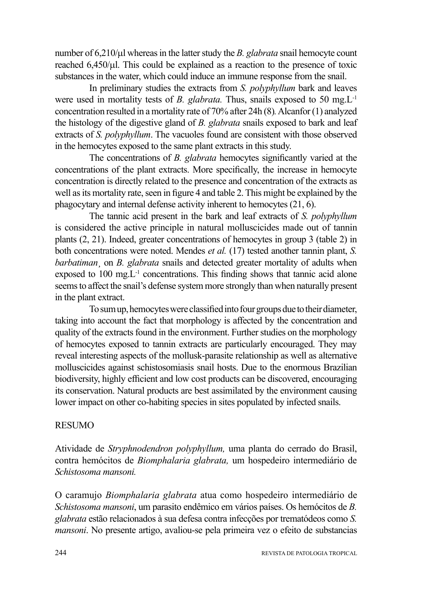number of 6,210/µl whereas in the latter study the *B. glabrata* snail hemocyte count reached 6,450/µl. This could be explained as a reaction to the presence of toxic substances in the water, which could induce an immune response from the snail.

In preliminary studies the extracts from *S. polyphyllum* bark and leaves were used in mortality tests of *B. glabrata.* Thus, snails exposed to 50 mg.L-1 concentration resulted in a mortality rate of 70% after 24h (8)*.* Alcanfor (1) analyzed the histology of the digestive gland of *B. glabrata* snails exposed to bark and leaf extracts of *S. polyphyllum*. The vacuoles found are consistent with those observed in the hemocytes exposed to the same plant extracts in this study.

The concentrations of *B. glabrata* hemocytes significantly varied at the concentrations of the plant extracts. More specifically, the increase in hemocyte concentration is directly related to the presence and concentration of the extracts as well as its mortality rate, seen in figure 4 and table 2. This might be explained by the phagocytary and internal defense activity inherent to hemocytes (21, 6).

The tannic acid present in the bark and leaf extracts of *S. polyphyllum* is considered the active principle in natural molluscicides made out of tannin plants (2, 21). Indeed, greater concentrations of hemocytes in group 3 (table 2) in both concentrations were noted. Mendes *et al.* (17) tested another tannin plant, *S. barbatiman*¸ on *B. glabrata* snails and detected greater mortality of adults when exposed to  $100 \text{ mg}$ . L<sup>-1</sup> concentrations. This finding shows that tannic acid alone seems to affect the snail's defense system more strongly than when naturally present in the plant extract.

To sum up, hemocytes were classified into four groups due to their diameter, taking into account the fact that morphology is affected by the concentration and quality of the extracts found in the environment. Further studies on the morphology of hemocytes exposed to tannin extracts are particularly encouraged. They may reveal interesting aspects of the mollusk-parasite relationship as well as alternative molluscicides against schistosomiasis snail hosts. Due to the enormous Brazilian biodiversity, highly efficient and low cost products can be discovered, encouraging its conservation. Natural products are best assimilated by the environment causing lower impact on other co-habiting species in sites populated by infected snails.

#### RESUMO

Atividade de *Stryphnodendron polyphyllum,* uma planta do cerrado do Brasil, contra hemócitos de *Biomphalaria glabrata,* um hospedeiro intermediário de *Schistosoma mansoni.*

O caramujo *Biomphalaria glabrata* atua como hospedeiro intermediário de *Schistosoma mansoni*, um parasito endêmico em vários países. Os hemócitos de *B. glabrata* estão relacionados à sua defesa contra infecções por trematódeos como *S. mansoni*. No presente artigo, avaliou-se pela primeira vez o efeito de substancias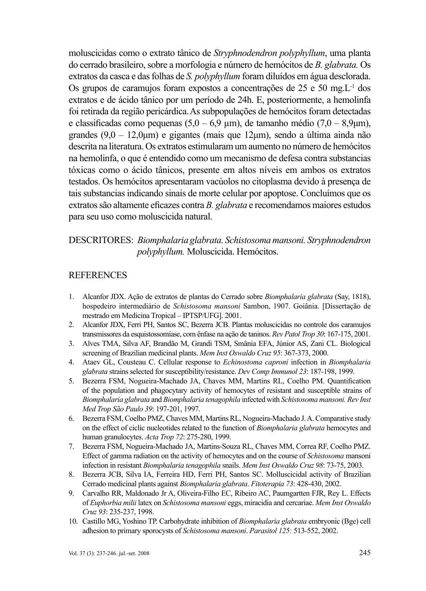moluscicidas como o extrato tânico de *Stryphnodendron polyphyllum*, uma planta do cerrado brasileiro, sobre a morfologia e número de hemócitos de *B. glabrata.* Os extratos da casca e das folhas de *S. polyphyllum* foram diluídos em água desclorada. Os grupos de caramujos foram expostos a concentrações de 25 e 50 mg.L-1 dos extratos e de ácido tânico por um período de 24h. E, posteriormente, a hemolinfa foi retirada da região pericárdica.As subpopulações de hemócitos foram detectadas e classificadas como pequenas  $(5.0 - 6.9 \text{ µm})$ , de tamanho médio  $(7.0 - 8.9 \text{ µm})$ , grandes (9,0 – 12,0μm) e gigantes (mais que 12μm), sendo a última ainda não descrita na literatura. Os extratos estimularam um aumento no número de hemócitos na hemolinfa, o que é entendido como um mecanismo de defesa contra substancias tóxicas como o ácido tânicos, presente em altos níveis em ambos os extratos testados. Os hemócitos apresentaram vacúolos no citoplasma devido à presença de tais substancias indicando sinais de morte celular por apoptose. Concluímos que os extratos são altamente eficazes contra *B. glabrata* e recomendamos maiores estudos para seu uso como moluscicida natural.

# DESCRITORES: *Biomphalaria glabrata. Schistosoma mansoni. Stryphnodendron polyphyllum.* Moluscicida. Hemócitos.

#### REFERENCES

- 1. Alcanfor JDX. Ação de extratos de plantas do Cerrado sobre *Biomphalaria glabrata* (Say, 1818), hospedeiro intermediário de *Schistosoma mansoni* Sambon, 1907. Goiânia. [Dissertação de mestrado em Medicina Tropical – IPTSP/UFG]. 2001.
- 2. Alcanfor JDX, Ferri PH, Santos SC, Bezerra JCB. Plantas moluscicidas no controle dos caramujos transmissores da esquistossomíase, com ênfase na ação de taninos. *Rev Patol Trop 30*: 167-175, 2001.
- 3. Alves TMA, Silva AF, Brandão M, Grandi TSM, Smânia EFA, Júnior AS, Zani CL. Biological screening of Brazilian medicinal plants. *Mem Inst Oswaldo Cruz 95*: 367-373, 2000.
- 4. Ataev GL, Cousteau C. Cellular response to *Echinostoma caproni* infection in *Biomphalaria glabrata* strains selected for susceptibility/resistance. *Dev Comp Immunol 23*: 187-198, 1999.
- 5. Bezerra FSM, Nogueira-Machado JA, Chaves MM, Martins RL, Coelho PM. Quantification of the population and phagocytary activity of hemocytes of resistant and susceptible strains of *Biomphalaria glabrata* and *Biomphalaria tenagophila* infected with *Schistosoma mansoni. Rev Inst Med Trop São Paulo 39*: 197-201, 1997.
- 6. Bezerra FSM, Coelho PMZ, Chaves MM, Martins RL, Nogueira-Machado J. A. Comparative study on the effect of ciclic nucleotides related to the function of *Biomphalaria glabrata* hemocytes and human granulocytes. *Acta Trop 72*: 275-280, 1999.
- 7. Bezerra FSM, Nogueira-Machado JA, Martins-Souza RL, Chaves MM, Correa RF, Coelho PMZ. Effect of gamma radiation on the activity of hemocytes and on the course of *Schistosoma* mansoni infection in resistant *Biomphalaria tenagophila* snails. *Mem Inst Oswaldo Cruz 98*: 73-75, 2003.
- 8. Bezerra JCB, Silva IA, Ferreira HD, Ferri PH, Santos SC. Molluscicidal activity of Brazilian Cerrado medicinal plants against *Biomphalaria glabrata*. *Fitoterapia 73*: 428-430, 2002.
- 9. Carvalho RR, Maldonado Jr A, Oliveira-Filho EC, Ribeiro AC, Paumgartten FJR, Rey L. Effects of *Euphorbia milii* latex on *Schistosoma mansoni* eggs, miracidia and cercariae. *Mem Inst Oswaldo Cruz 93*: 235-237, 1998.
- 10. Castillo MG, Yoshino TP. Carbohydrate inhibition of *Biomphalaria glabrata* embryonic (Bge) cell adhesion to primary sporocysts of *Schistosoma mansoni*. *Parasitol 125:* 513-552, 2002.